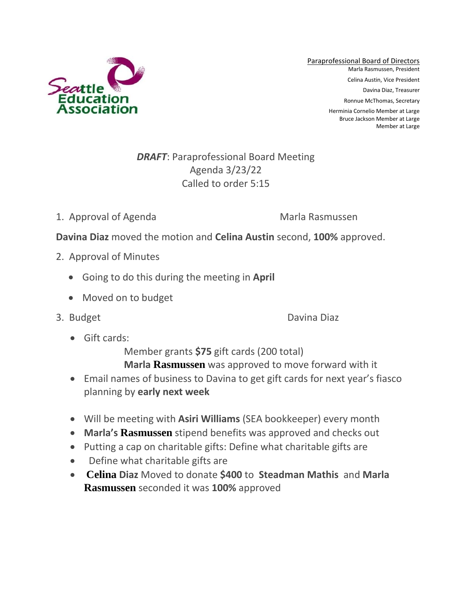

Paraprofessional Board of Directors Marla Rasmussen, President Celina Austin, Vice President Davina Diaz, Treasurer Ronnue McThomas, Secretary Herminia Cornelio Member at Large

Bruce Jackson Member at Large Member at Large

## *DRAFT*: Paraprofessional Board Meeting Agenda 3/23/22 Called to order 5:15

1. Approval of Agenda Marla Rasmussen

**Davina Diaz** moved the motion and **Celina Austin** second, **100%** approved.

- 2. Approval of Minutes
	- Going to do this during the meeting in **April**
	- Moved on to budget
- 

3. Budget Davina Diaz

• Gift cards:

Member grants **\$75** gift cards (200 total)

- **Marla Rasmussen** was approved to move forward with it
- Email names of business to Davina to get gift cards for next year's fiasco planning by **early next week**
- Will be meeting with **Asiri Williams** (SEA bookkeeper) every month
- **Marla's Rasmussen** stipend benefits was approved and checks out
- Putting a cap on charitable gifts: Define what charitable gifts are
- Define what charitable gifts are
- **Celina Diaz** Moved to donate **\$400** to **Steadman Mathis** and **Marla Rasmussen** seconded it was **100%** approved